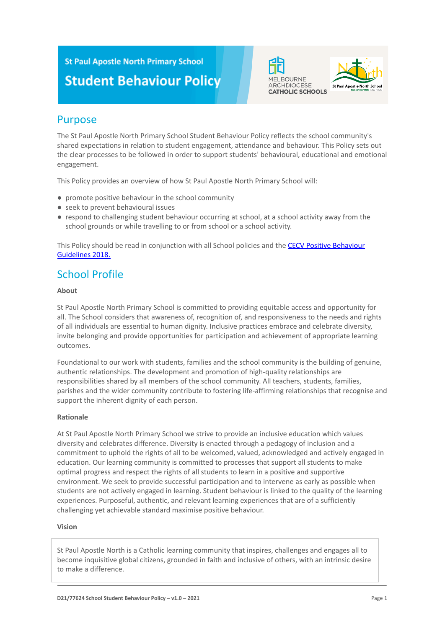### **St Paul Apostle North Primary School**

# **Student Behaviour Policy**





### Purpose

The St Paul Apostle North Primary School Student Behaviour Policy reflects the school community's shared expectations in relation to student engagement, attendance and behaviour. This Policy sets out the clear processes to be followed in order to support students' behavioural, educational and emotional engagement.

This Policy provides an overview of how St Paul Apostle North Primary School will:

- promote positive behaviour in the school community
- seek to prevent behavioural issues
- respond to challenging student behaviour occurring at school, at a school activity away from the school grounds or while travelling to or from school or a school activity.

This Policy should be read in conjunction with all School policies and the [CECV Positive Behaviour](https://www.cecv.catholic.edu.au/getmedia/bc1d235d-9a98-4bb4-b3ac-84b50fa7c639/CECV-Positive-Behaviour-Guidelines_FINAL2.aspx?ext=.pdf) [Guidelines 2018.](https://www.cecv.catholic.edu.au/getmedia/bc1d235d-9a98-4bb4-b3ac-84b50fa7c639/CECV-Positive-Behaviour-Guidelines_FINAL2.aspx?ext=.pdf)

## School Profile

### **About**

St Paul Apostle North Primary School is committed to providing equitable access and opportunity for all. The School considers that awareness of, recognition of, and responsiveness to the needs and rights of all individuals are essential to human dignity. Inclusive practices embrace and celebrate diversity, invite belonging and provide opportunities for participation and achievement of appropriate learning outcomes.

Foundational to our work with students, families and the school community is the building of genuine, authentic relationships. The development and promotion of high-quality relationships are responsibilities shared by all members of the school community. All teachers, students, families, parishes and the wider community contribute to fostering life-affirming relationships that recognise and support the inherent dignity of each person.

### **Rationale**

At St Paul Apostle North Primary School we strive to provide an inclusive education which values diversity and celebrates difference. Diversity is enacted through a pedagogy of inclusion and a commitment to uphold the rights of all to be welcomed, valued, acknowledged and actively engaged in education. Our learning community is committed to processes that support all students to make optimal progress and respect the rights of all students to learn in a positive and supportive environment. We seek to provide successful participation and to intervene as early as possible when students are not actively engaged in learning. Student behaviour is linked to the quality of the learning experiences. Purposeful, authentic, and relevant learning experiences that are of a sufficiently challenging yet achievable standard maximise positive behaviour.

### **Vision**

St Paul Apostle North is a Catholic learning community that inspires, challenges and engages all to become inquisitive global citizens, grounded in faith and inclusive of others, with an intrinsic desire to make a difference.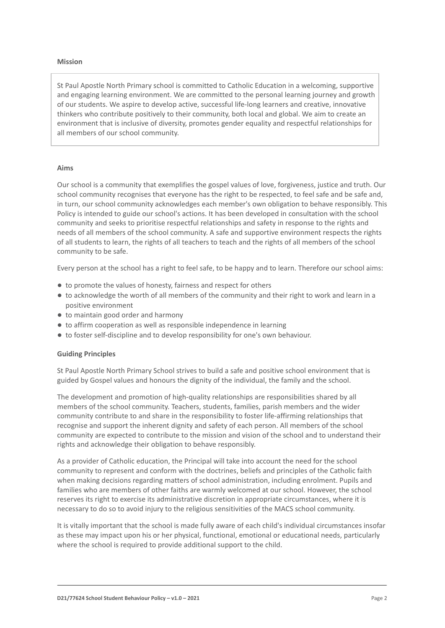### **Mission**

St Paul Apostle North Primary school is committed to Catholic Education in a welcoming, supportive and engaging learning environment. We are committed to the personal learning journey and growth of our students. We aspire to develop active, successful life-long learners and creative, innovative thinkers who contribute positively to their community, both local and global. We aim to create an environment that is inclusive of diversity, promotes gender equality and respectful relationships for all members of our school community.

### **Aims**

Our school is a community that exemplifies the gospel values of love, forgiveness, justice and truth. Our school community recognises that everyone has the right to be respected, to feel safe and be safe and, in turn, our school community acknowledges each member's own obligation to behave responsibly. This Policy is intended to guide our school's actions. It has been developed in consultation with the school community and seeks to prioritise respectful relationships and safety in response to the rights and needs of all members of the school community. A safe and supportive environment respects the rights of all students to learn, the rights of all teachers to teach and the rights of all members of the school community to be safe.

Every person at the school has a right to feel safe, to be happy and to learn. Therefore our school aims:

- to promote the values of honesty, fairness and respect for others
- to acknowledge the worth of all members of the community and their right to work and learn in a positive environment
- to maintain good order and harmony
- to affirm cooperation as well as responsible independence in learning
- to foster self-discipline and to develop responsibility for one's own behaviour.

### **Guiding Principles**

St Paul Apostle North Primary School strives to build a safe and positive school environment that is guided by Gospel values and honours the dignity of the individual, the family and the school.

The development and promotion of high-quality relationships are responsibilities shared by all members of the school community. Teachers, students, families, parish members and the wider community contribute to and share in the responsibility to foster life-affirming relationships that recognise and support the inherent dignity and safety of each person. All members of the school community are expected to contribute to the mission and vision of the school and to understand their rights and acknowledge their obligation to behave responsibly.

As a provider of Catholic education, the Principal will take into account the need for the school community to represent and conform with the doctrines, beliefs and principles of the Catholic faith when making decisions regarding matters of school administration, including enrolment. Pupils and families who are members of other faiths are warmly welcomed at our school. However, the school reserves its right to exercise its administrative discretion in appropriate circumstances, where it is necessary to do so to avoid injury to the religious sensitivities of the MACS school community.

It is vitally important that the school is made fully aware of each child's individual circumstances insofar as these may impact upon his or her physical, functional, emotional or educational needs, particularly where the school is required to provide additional support to the child.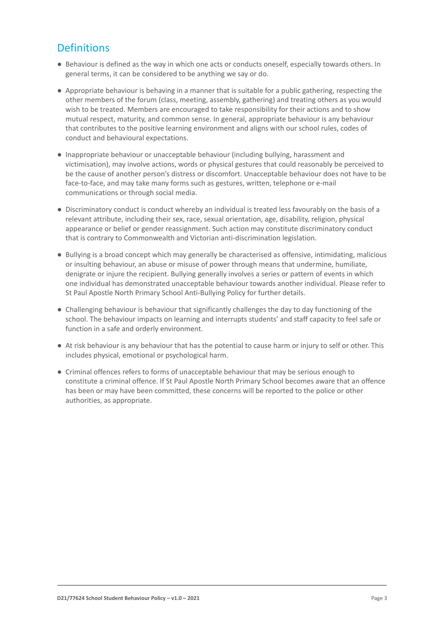## **Definitions**

- Behaviour is defined as the way in which one acts or conducts oneself, especially towards others. In general terms, it can be considered to be anything we say or do.
- Appropriate behaviour is behaving in a manner that is suitable for a public gathering, respecting the other members of the forum (class, meeting, assembly, gathering) and treating others as you would wish to be treated. Members are encouraged to take responsibility for their actions and to show mutual respect, maturity, and common sense. In general, appropriate behaviour is any behaviour that contributes to the positive learning environment and aligns with our school rules, codes of conduct and behavioural expectations.
- Inappropriate behaviour or unacceptable behaviour (including bullying, harassment and victimisation), may involve actions, words or physical gestures that could reasonably be perceived to be the cause of another person's distress or discomfort. Unacceptable behaviour does not have to be face-to-face, and may take many forms such as gestures, written, telephone or e-mail communications or through social media.
- Discriminatory conduct is conduct whereby an individual is treated less favourably on the basis of a relevant attribute, including their sex, race, sexual orientation, age, disability, religion, physical appearance or belief or gender reassignment. Such action may constitute discriminatory conduct that is contrary to Commonwealth and Victorian anti-discrimination legislation.
- Bullying is a broad concept which may generally be characterised as offensive, intimidating, malicious or insulting behaviour, an abuse or misuse of power through means that undermine, humiliate, denigrate or injure the recipient. Bullying generally involves a series or pattern of events in which one individual has demonstrated unacceptable behaviour towards another individual. Please refer to St Paul Apostle North Primary School Anti-Bullying Policy for further details.
- Challenging behaviour is behaviour that significantly challenges the day to day functioning of the school. The behaviour impacts on learning and interrupts students' and staff capacity to feel safe or function in a safe and orderly environment.
- At risk behaviour is any behaviour that has the potential to cause harm or injury to self or other. This includes physical, emotional or psychological harm.
- Criminal offences refers to forms of unacceptable behaviour that may be serious enough to constitute a criminal offence. If St Paul Apostle North Primary School becomes aware that an offence has been or may have been committed, these concerns will be reported to the police or other authorities, as appropriate.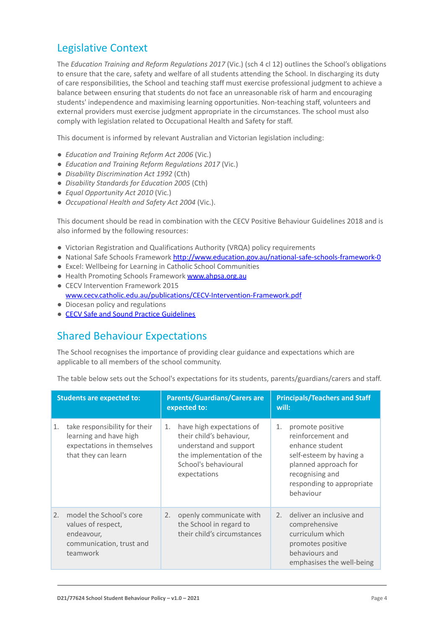## Legislative Context

The *Education Training and Reform Regulations 2017* (Vic.) (sch 4 cl 12) outlines the School's obligations to ensure that the care, safety and welfare of all students attending the School. In discharging its duty of care responsibilities, the School and teaching staff must exercise professional judgment to achieve a balance between ensuring that students do not face an unreasonable risk of harm and encouraging students' independence and maximising learning opportunities. Non-teaching staff, volunteers and external providers must exercise judgment appropriate in the circumstances. The school must also comply with legislation related to Occupational Health and Safety for staff.

This document is informed by relevant Australian and Victorian legislation including:

- *Education and Training Reform Act 2006* (Vic.)
- *Education and Training Reform Regulations 2017* (Vic.)
- *Disability Discrimination Act 1992* (Cth)
- *Disability Standards for Education 2005* (Cth)
- *Equal Opportunity Act 2010* (Vic.)
- *Occupational Health and Safety Act 2004* (Vic.).

This document should be read in combination with the CECV Positive Behaviour Guidelines 2018 and is also informed by the following resources:

- Victorian Registration and Qualifications Authority (VRQA) policy requirements
- National Safe Schools Framework <http://www.education.gov.au/national-safe-schools-framework-0>
- Excel: Wellbeing for Learning in Catholic School Communities
- Health Promoting Schools Framework [www.ahpsa.org.au](http://www.ahpsa.org.au)
- CFCV Intervention Framework 2015 [www.cecv.catholic.edu.au/publications/CECV-Intervention-Framework.pdf](http://www.cecv.catholic.edu.au/publications/CECV-Intervention-Framework.pdf)
- Diocesan policy and regulations
- [CECV Safe and Sound Practice Guidelines](https://www.cecv.catholic.edu.au/getmedia/bad5e328-b5f9-4742-a66c-0c7f20ae21ff/Safe-and-Sound-Practice-Guidelines.aspx)

## Shared Behaviour Expectations

The School recognises the importance of providing clear guidance and expectations which are applicable to all members of the school community.

| <b>Students are expected to:</b> |                                                                                                              | <b>Parents/Guardians/Carers are</b><br>expected to: |                                                                                                                                                      | <b>Principals/Teachers and Staff</b><br>will: |                                                                                                                                                                          |  |
|----------------------------------|--------------------------------------------------------------------------------------------------------------|-----------------------------------------------------|------------------------------------------------------------------------------------------------------------------------------------------------------|-----------------------------------------------|--------------------------------------------------------------------------------------------------------------------------------------------------------------------------|--|
| 1.                               | take responsibility for their<br>learning and have high<br>expectations in themselves<br>that they can learn | 1.                                                  | have high expectations of<br>their child's behaviour,<br>understand and support<br>the implementation of the<br>School's behavioural<br>expectations | 1.                                            | promote positive<br>reinforcement and<br>enhance student<br>self-esteem by having a<br>planned approach for<br>recognising and<br>responding to appropriate<br>behaviour |  |
| 2.                               | model the School's core<br>values of respect,<br>endeavour,<br>communication, trust and<br>teamwork          | 2.                                                  | openly communicate with<br>the School in regard to<br>their child's circumstances                                                                    | 2.                                            | deliver an inclusive and<br>comprehensive<br>curriculum which<br>promotes positive<br>behaviours and<br>emphasises the well-being                                        |  |

The table below sets out the School's expectations for its students, parents/guardians/carers and staff.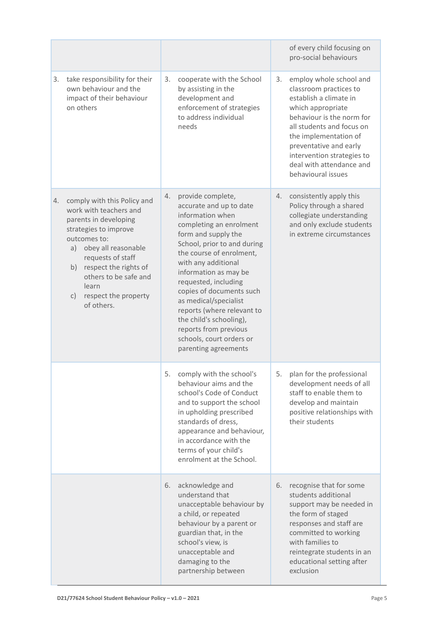|    |                                                                                                                                                                                                                                                                                                  |    |                                                                                                                                                                                                                                                                                                                                                                                                                                                  |    | of every child focusing on<br>pro-social behaviours                                                                                                                                                                                                                                           |
|----|--------------------------------------------------------------------------------------------------------------------------------------------------------------------------------------------------------------------------------------------------------------------------------------------------|----|--------------------------------------------------------------------------------------------------------------------------------------------------------------------------------------------------------------------------------------------------------------------------------------------------------------------------------------------------------------------------------------------------------------------------------------------------|----|-----------------------------------------------------------------------------------------------------------------------------------------------------------------------------------------------------------------------------------------------------------------------------------------------|
| 3. | take responsibility for their<br>own behaviour and the<br>impact of their behaviour<br>on others                                                                                                                                                                                                 | 3. | cooperate with the School<br>by assisting in the<br>development and<br>enforcement of strategies<br>to address individual<br>needs                                                                                                                                                                                                                                                                                                               | 3. | employ whole school and<br>classroom practices to<br>establish a climate in<br>which appropriate<br>behaviour is the norm for<br>all students and focus on<br>the implementation of<br>preventative and early<br>intervention strategies to<br>deal with attendance and<br>behavioural issues |
| 4. | comply with this Policy and<br>work with teachers and<br>parents in developing<br>strategies to improve<br>outcomes to:<br>obey all reasonable<br>a)<br>requests of staff<br>respect the rights of<br>b)<br>others to be safe and<br>learn<br>respect the property<br>$\mathsf{C}$<br>of others. | 4. | provide complete,<br>accurate and up to date<br>information when<br>completing an enrolment<br>form and supply the<br>School, prior to and during<br>the course of enrolment,<br>with any additional<br>information as may be<br>requested, including<br>copies of documents such<br>as medical/specialist<br>reports (where relevant to<br>the child's schooling),<br>reports from previous<br>schools, court orders or<br>parenting agreements | 4. | consistently apply this<br>Policy through a shared<br>collegiate understanding<br>and only exclude students<br>in extreme circumstances                                                                                                                                                       |
|    |                                                                                                                                                                                                                                                                                                  |    | 5. comply with the school's<br>behaviour aims and the<br>school's Code of Conduct<br>and to support the school<br>in upholding prescribed<br>standards of dress,<br>appearance and behaviour,<br>in accordance with the<br>terms of your child's<br>enrolment at the School.                                                                                                                                                                     |    | 5. plan for the professional<br>development needs of all<br>staff to enable them to<br>develop and maintain<br>positive relationships with<br>their students                                                                                                                                  |
|    |                                                                                                                                                                                                                                                                                                  | 6. | acknowledge and<br>understand that<br>unacceptable behaviour by<br>a child, or repeated<br>behaviour by a parent or<br>guardian that, in the<br>school's view, is<br>unacceptable and<br>damaging to the<br>partnership between                                                                                                                                                                                                                  | 6. | recognise that for some<br>students additional<br>support may be needed in<br>the form of staged<br>responses and staff are<br>committed to working<br>with families to<br>reintegrate students in an<br>educational setting after<br>exclusion                                               |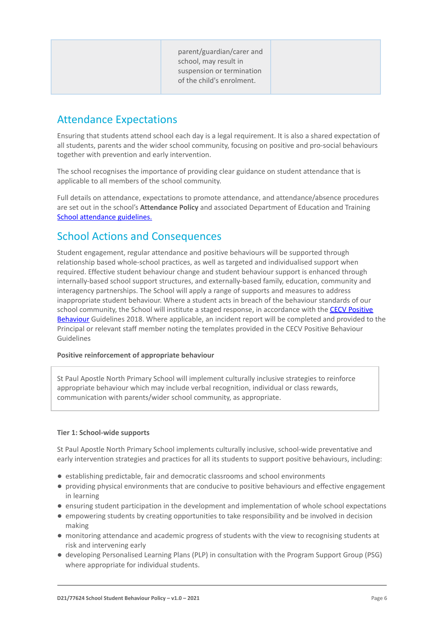parent/guardian/carer and school, may result in suspension or termination of the child's enrolment.

## Attendance Expectations

Ensuring that students attend school each day is a legal requirement. It is also a shared expectation of all students, parents and the wider school community, focusing on positive and pro-social behaviours together with prevention and early intervention.

The school recognises the importance of providing clear guidance on student attendance that is applicable to all members of the school community.

Full details on attendance, expectations to promote attendance, and attendance/absence procedures are set out in the school's **Attendance Policy** and associated Department of Education and Training [School attendance guidelines.](https://www2.education.vic.gov.au/pal/attendance/guidance)

### School Actions and Consequences

Student engagement, regular attendance and positive behaviours will be supported through relationship based whole-school practices, as well as targeted and individualised support when required. Effective student behaviour change and student behaviour support is enhanced through internally-based school support structures, and externally-based family, education, community and interagency partnerships. The School will apply a range of supports and measures to address inappropriate student behaviour. Where a student acts in breach of the behaviour standards of our school community, the School will institute a staged response, in accordance with the [CECV Positive](https://www.cecv.catholic.edu.au/getmedia/bc1d235d-9a98-4bb4-b3ac-84b50fa7c639/CECV-Positive-Behaviour-Guidelines_FINAL2.aspx?ext=.pdf) [Behaviour](https://www.cecv.catholic.edu.au/getmedia/bc1d235d-9a98-4bb4-b3ac-84b50fa7c639/CECV-Positive-Behaviour-Guidelines_FINAL2.aspx?ext=.pdf) Guidelines 2018. Where applicable, an incident report will be completed and provided to the Principal or relevant staff member noting the templates provided in the CECV Positive Behaviour Guidelines

### **Positive reinforcement of appropriate behaviour**

St Paul Apostle North Primary School will implement culturally inclusive strategies to reinforce appropriate behaviour which may include verbal recognition, individual or class rewards, communication with parents/wider school community, as appropriate.

### **Tier 1: School-wide supports**

St Paul Apostle North Primary School implements culturally inclusive, school-wide preventative and early intervention strategies and practices for all its students to support positive behaviours, including:

- establishing predictable, fair and democratic classrooms and school environments
- providing physical environments that are conducive to positive behaviours and effective engagement in learning
- ensuring student participation in the development and implementation of whole school expectations
- empowering students by creating opportunities to take responsibility and be involved in decision making
- monitoring attendance and academic progress of students with the view to recognising students at risk and intervening early
- developing Personalised Learning Plans (PLP) in consultation with the Program Support Group (PSG) where appropriate for individual students.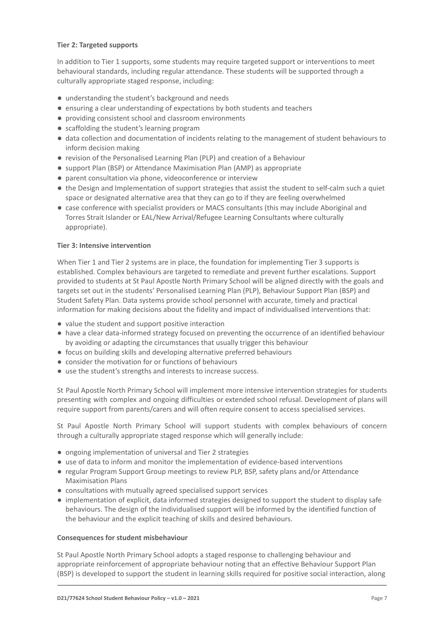### **Tier 2: Targeted supports**

In addition to Tier 1 supports, some students may require targeted support or interventions to meet behavioural standards, including regular attendance. These students will be supported through a culturally appropriate staged response, including:

- understanding the student's background and needs
- ensuring a clear understanding of expectations by both students and teachers
- providing consistent school and classroom environments
- scaffolding the student's learning program
- data collection and documentation of incidents relating to the management of student behaviours to inform decision making
- revision of the Personalised Learning Plan (PLP) and creation of a Behaviour
- support Plan (BSP) or Attendance Maximisation Plan (AMP) as appropriate
- parent consultation via phone, videoconference or interview
- the Design and Implementation of support strategies that assist the student to self-calm such a quiet space or designated alternative area that they can go to if they are feeling overwhelmed
- case conference with specialist providers or MACS consultants (this may include Aboriginal and Torres Strait Islander or EAL/New Arrival/Refugee Learning Consultants where culturally appropriate).

### **Tier 3: Intensive intervention**

When Tier 1 and Tier 2 systems are in place, the foundation for implementing Tier 3 supports is established. Complex behaviours are targeted to remediate and prevent further escalations. Support provided to students at St Paul Apostle North Primary School will be aligned directly with the goals and targets set out in the students' Personalised Learning Plan (PLP), Behaviour Support Plan (BSP) and Student Safety Plan. Data systems provide school personnel with accurate, timely and practical information for making decisions about the fidelity and impact of individualised interventions that:

- value the student and support positive interaction
- have a clear data-informed strategy focused on preventing the occurrence of an identified behaviour by avoiding or adapting the circumstances that usually trigger this behaviour
- focus on building skills and developing alternative preferred behaviours
- consider the motivation for or functions of behaviours
- use the student's strengths and interests to increase success.

St Paul Apostle North Primary School will implement more intensive intervention strategies for students presenting with complex and ongoing difficulties or extended school refusal. Development of plans will require support from parents/carers and will often require consent to access specialised services.

St Paul Apostle North Primary School will support students with complex behaviours of concern through a culturally appropriate staged response which will generally include:

- ongoing implementation of universal and Tier 2 strategies
- use of data to inform and monitor the implementation of evidence-based interventions
- regular Program Support Group meetings to review PLP, BSP, safety plans and/or Attendance Maximisation Plans
- consultations with mutually agreed specialised support services
- implementation of explicit, data informed strategies designed to support the student to display safe behaviours. The design of the individualised support will be informed by the identified function of the behaviour and the explicit teaching of skills and desired behaviours.

### **Consequences for student misbehaviour**

St Paul Apostle North Primary School adopts a staged response to challenging behaviour and appropriate reinforcement of appropriate behaviour noting that an effective Behaviour Support Plan (BSP) is developed to support the student in learning skills required for positive social interaction, along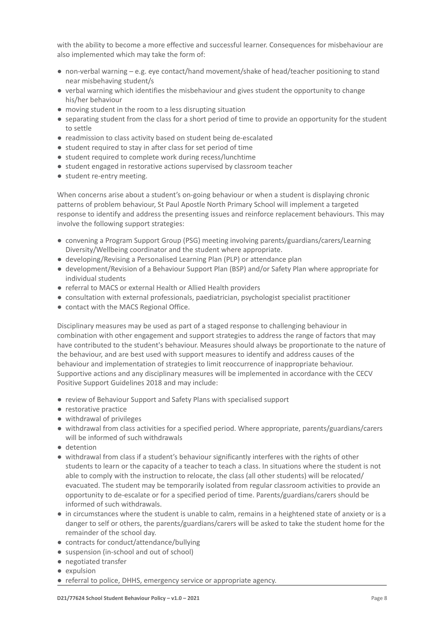with the ability to become a more effective and successful learner. Consequences for misbehaviour are also implemented which may take the form of:

- non-verbal warning e.g. eye contact/hand movement/shake of head/teacher positioning to stand near misbehaving student/s
- verbal warning which identifies the misbehaviour and gives student the opportunity to change his/her behaviour
- moving student in the room to a less disrupting situation
- separating student from the class for a short period of time to provide an opportunity for the student to settle
- readmission to class activity based on student being de-escalated
- student required to stay in after class for set period of time
- student required to complete work during recess/lunchtime
- student engaged in restorative actions supervised by classroom teacher
- student re-entry meeting.

When concerns arise about a student's on-going behaviour or when a student is displaying chronic patterns of problem behaviour, St Paul Apostle North Primary School will implement a targeted response to identify and address the presenting issues and reinforce replacement behaviours. This may involve the following support strategies:

- convening a Program Support Group (PSG) meeting involving parents/guardians/carers/Learning Diversity/Wellbeing coordinator and the student where appropriate.
- developing/Revising a Personalised Learning Plan (PLP) or attendance plan
- development/Revision of a Behaviour Support Plan (BSP) and/or Safety Plan where appropriate for individual students
- referral to MACS or external Health or Allied Health providers
- consultation with external professionals, paediatrician, psychologist specialist practitioner
- contact with the MACS Regional Office.

Disciplinary measures may be used as part of a staged response to challenging behaviour in combination with other engagement and support strategies to address the range of factors that may have contributed to the student's behaviour. Measures should always be proportionate to the nature of the behaviour, and are best used with support measures to identify and address causes of the behaviour and implementation of strategies to limit reoccurrence of inappropriate behaviour. Supportive actions and any disciplinary measures will be implemented in accordance with the CECV Positive Support Guidelines 2018 and may include:

- review of Behaviour Support and Safety Plans with specialised support
- restorative practice
- withdrawal of privileges
- withdrawal from class activities for a specified period. Where appropriate, parents/guardians/carers will be informed of such withdrawals
- detention
- withdrawal from class if a student's behaviour significantly interferes with the rights of other students to learn or the capacity of a teacher to teach a class. In situations where the student is not able to comply with the instruction to relocate, the class (all other students) will be relocated/ evacuated. The student may be temporarily isolated from regular classroom activities to provide an opportunity to de-escalate or for a specified period of time. Parents/guardians/carers should be informed of such withdrawals.
- in circumstances where the student is unable to calm, remains in a heightened state of anxiety or is a danger to self or others, the parents/guardians/carers will be asked to take the student home for the remainder of the school day.
- contracts for conduct/attendance/bullying
- suspension (in-school and out of school)
- negotiated transfer
- expulsion
- referral to police, DHHS, emergency service or appropriate agency.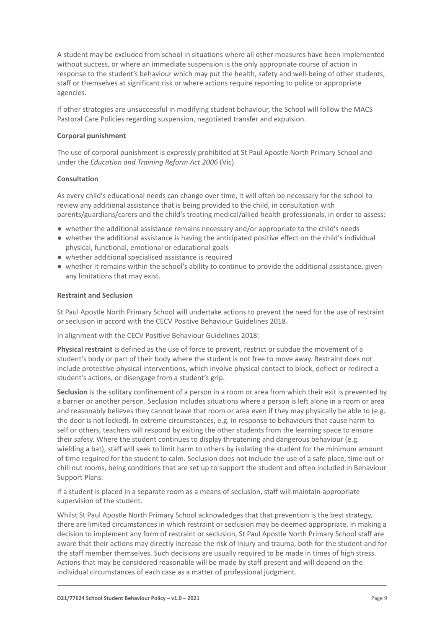A student may be excluded from school in situations where all other measures have been implemented without success, or where an immediate suspension is the only appropriate course of action in response to the student's behaviour which may put the health, safety and well-being of other students, staff or themselves at significant risk or where actions require reporting to police or appropriate agencies.

If other strategies are unsuccessful in modifying student behaviour, the School will follow the MACS Pastoral Care Policies regarding suspension, negotiated transfer and expulsion.

### **Corporal punishment**

The use of corporal punishment is expressly prohibited at St Paul Apostle North Primary School and under the *Education and Training Reform Act 2006* (Vic).

### **Consultation**

As every child's educational needs can change over time, it will often be necessary for the school to review any additional assistance that is being provided to the child, in consultation with parents/guardians/carers and the child's treating medical/allied health professionals, in order to assess:

- whether the additional assistance remains necessary and/or appropriate to the child's needs
- whether the additional assistance is having the anticipated positive effect on the child's individual physical, functional, emotional or educational goals
- whether additional specialised assistance is required
- whether it remains within the school's ability to continue to provide the additional assistance, given any limitations that may exist.

### **Restraint and Seclusion**

St Paul Apostle North Primary School will undertake actions to prevent the need for the use of restraint or seclusion in accord with the CECV Positive Behaviour Guidelines 2018.

In alignment with the CECV Positive Behaviour Guidelines 2018:

**Physical restraint** is defined as the use of force to prevent, restrict or subdue the movement of a student's body or part of their body where the student is not free to move away. Restraint does not include protective physical interventions, which involve physical contact to block, deflect or redirect a student's actions, or disengage from a student's grip.

**Seclusion** is the solitary confinement of a person in a room or area from which their exit is prevented by a barrier or another person. Seclusion includes situations where a person is left alone in a room or area and reasonably believes they cannot leave that room or area even if they may physically be able to (e.g. the door is not locked). In extreme circumstances, e.g. in response to behaviours that cause harm to self or others, teachers will respond by exiting the other students from the learning space to ensure their safety. Where the student continues to display threatening and dangerous behaviour (e.g. wielding a bat), staff will seek to limit harm to others by isolating the student for the minimum amount of time required for the student to calm. Seclusion does not include the use of a safe place, time out or chill out rooms, being conditions that are set up to support the student and often included in Behaviour Support Plans.

If a student is placed in a separate room as a means of seclusion, staff will maintain appropriate supervision of the student.

Whilst St Paul Apostle North Primary School acknowledges that that prevention is the best strategy, there are limited circumstances in which restraint or seclusion may be deemed appropriate. In making a decision to implement any form of restraint or seclusion, St Paul Apostle North Primary School staff are aware that their actions may directly increase the risk of injury and trauma, both for the student and for the staff member themselves. Such decisions are usually required to be made in times of high stress. Actions that may be considered reasonable will be made by staff present and will depend on the individual circumstances of each case as a matter of professional judgment.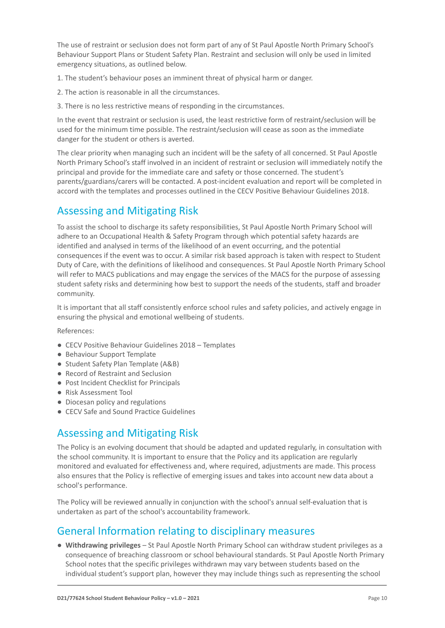The use of restraint or seclusion does not form part of any of St Paul Apostle North Primary School's Behaviour Support Plans or Student Safety Plan. Restraint and seclusion will only be used in limited emergency situations, as outlined below.

1. The student's behaviour poses an imminent threat of physical harm or danger.

- 2. The action is reasonable in all the circumstances.
- 3. There is no less restrictive means of responding in the circumstances.

In the event that restraint or seclusion is used, the least restrictive form of restraint/seclusion will be used for the minimum time possible. The restraint/seclusion will cease as soon as the immediate danger for the student or others is averted.

The clear priority when managing such an incident will be the safety of all concerned. St Paul Apostle North Primary School's staff involved in an incident of restraint or seclusion will immediately notify the principal and provide for the immediate care and safety or those concerned. The student's parents/guardians/carers will be contacted. A post-incident evaluation and report will be completed in accord with the templates and processes outlined in the CECV Positive Behaviour Guidelines 2018.

## Assessing and Mitigating Risk

To assist the school to discharge its safety responsibilities, St Paul Apostle North Primary School will adhere to an Occupational Health & Safety Program through which potential safety hazards are identified and analysed in terms of the likelihood of an event occurring, and the potential consequences if the event was to occur. A similar risk based approach is taken with respect to Student Duty of Care, with the definitions of likelihood and consequences. St Paul Apostle North Primary School will refer to MACS publications and may engage the services of the MACS for the purpose of assessing student safety risks and determining how best to support the needs of the students, staff and broader community.

It is important that all staff consistently enforce school rules and safety policies, and actively engage in ensuring the physical and emotional wellbeing of students.

References:

- CECV Positive Behaviour Guidelines 2018 Templates
- Behaviour Support Template
- Student Safety Plan Template (A&B)
- Record of Restraint and Seclusion
- Post Incident Checklist for Principals
- Risk Assessment Tool
- Diocesan policy and regulations
- CECV Safe and Sound Practice Guidelines

## Assessing and Mitigating Risk

The Policy is an evolving document that should be adapted and updated regularly, in consultation with the school community. It is important to ensure that the Policy and its application are regularly monitored and evaluated for effectiveness and, where required, adjustments are made. This process also ensures that the Policy is reflective of emerging issues and takes into account new data about a school's performance.

The Policy will be reviewed annually in conjunction with the school's annual self-evaluation that is undertaken as part of the school's accountability framework.

## General Information relating to disciplinary measures

● **Withdrawing privileges** – St Paul Apostle North Primary School can withdraw student privileges as a consequence of breaching classroom or school behavioural standards. St Paul Apostle North Primary School notes that the specific privileges withdrawn may vary between students based on the individual student's support plan, however they may include things such as representing the school